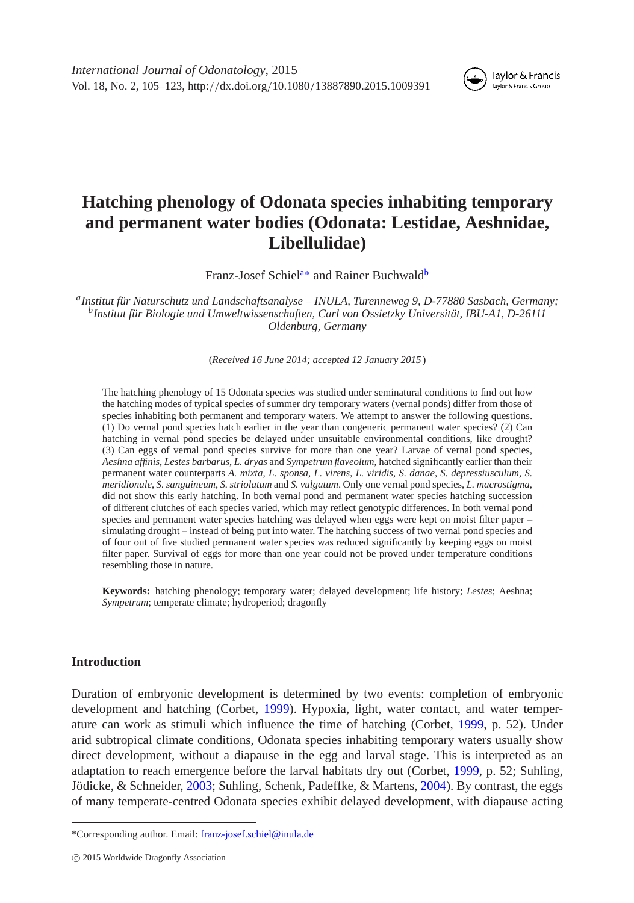

# **Hatching phenology of Odonata species inhabiting temporary and permanent water bodies (Odonata: Lestidae, Aeshnidae, Libellulidae)**

Fr[a](#page-0-0)nz-Josef Schiel<sup>a[∗](#page-0-1)</sup> and Rainer Buchwald<sup>b</sup>

<span id="page-0-2"></span><span id="page-0-0"></span>*aInstitut für Naturschutz und Landschaftsanalyse – INULA, Turenneweg 9, D-77880 Sasbach, Germany; bInstitut für Biologie und Umweltwissenschaften, Carl von Ossietzky Universität, IBU-A1, D-26111 Oldenburg, Germany*

(*Received 16 June 2014; accepted 12 January 2015*)

The hatching phenology of 15 Odonata species was studied under seminatural conditions to find out how the hatching modes of typical species of summer dry temporary waters (vernal ponds) differ from those of species inhabiting both permanent and temporary waters. We attempt to answer the following questions. (1) Do vernal pond species hatch earlier in the year than congeneric permanent water species? (2) Can hatching in vernal pond species be delayed under unsuitable environmental conditions, like drought? (3) Can eggs of vernal pond species survive for more than one year? Larvae of vernal pond species, *Aeshna affinis*, *Lestes barbarus*, *L. dryas* and *Sympetrum flaveolum*, hatched significantly earlier than their permanent water counterparts *A. mixta*, *L. sponsa*, *L. virens*, *L. viridis*, *S. danae*, *S. depressiusculum*, *S. meridionale*, *S. sanguineum*, *S. striolatum* and *S. vulgatum*. Only one vernal pond species, *L. macrostigma*, did not show this early hatching. In both vernal pond and permanent water species hatching succession of different clutches of each species varied, which may reflect genotypic differences. In both vernal pond species and permanent water species hatching was delayed when eggs were kept on moist filter paper – simulating drought – instead of being put into water. The hatching success of two vernal pond species and of four out of five studied permanent water species was reduced significantly by keeping eggs on moist filter paper. Survival of eggs for more than one year could not be proved under temperature conditions resembling those in nature.

**Keywords:** hatching phenology; temporary water; delayed development; life history; *Lestes*; Aeshna; *Sympetrum*; temperate climate; hydroperiod; dragonfly

### **Introduction**

Duration of embryonic development is determined by two events: completion of embryonic development and hatching (Corbet, [1999\)](#page-16-0). Hypoxia, light, water contact, and water temperature can work as stimuli which influence the time of hatching (Corbet, [1999,](#page-16-0) p. 52). Under arid subtropical climate conditions, Odonata species inhabiting temporary waters usually show direct development, without a diapause in the egg and larval stage. This is interpreted as an adaptation to reach emergence before the larval habitats dry out (Corbet, [1999,](#page-16-0) p. 52; Suhling, Jödicke, & Schneider, [2003;](#page-18-0) Suhling, Schenk, Padeffke, & Martens, [2004\)](#page-18-1). By contrast, the eggs of many temperate-centred Odonata species exhibit delayed development, with diapause acting

<span id="page-0-1"></span><sup>\*</sup>Corresponding author. Email: [franz-josef.schiel@inula.de](mailto:franz-josef.schiel@inula.de)

c 2015 Worldwide Dragonfly Association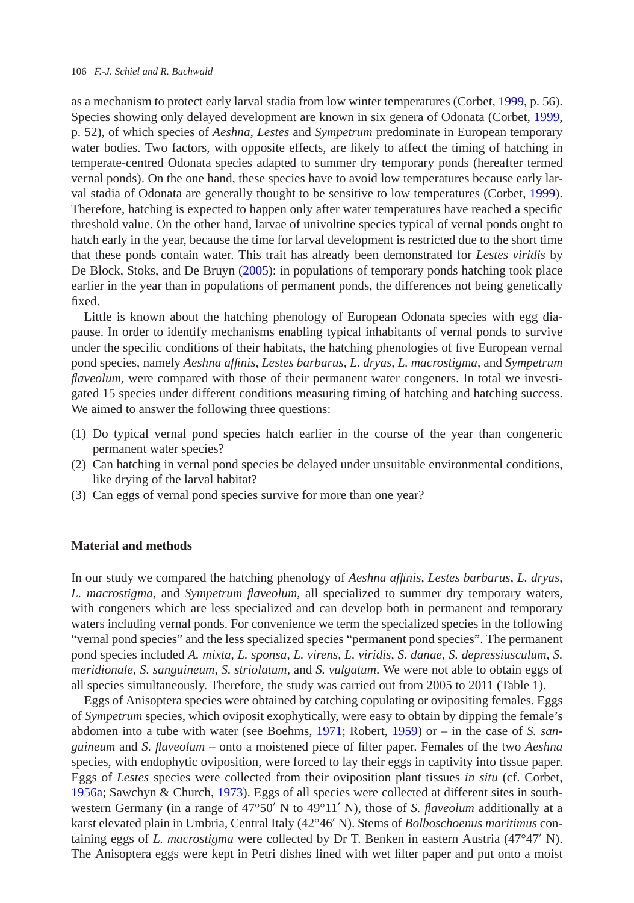as a mechanism to protect early larval stadia from low winter temperatures (Corbet, [1999,](#page-16-0) p. 56). Species showing only delayed development are known in six genera of Odonata (Corbet, [1999,](#page-16-0) p. 52), of which species of *Aeshna*, *Lestes* and *Sympetrum* predominate in European temporary water bodies. Two factors, with opposite effects, are likely to affect the timing of hatching in temperate-centred Odonata species adapted to summer dry temporary ponds (hereafter termed vernal ponds). On the one hand, these species have to avoid low temperatures because early larval stadia of Odonata are generally thought to be sensitive to low temperatures (Corbet, [1999\)](#page-16-0). Therefore, hatching is expected to happen only after water temperatures have reached a specific threshold value. On the other hand, larvae of univoltine species typical of vernal ponds ought to hatch early in the year, because the time for larval development is restricted due to the short time that these ponds contain water. This trait has already been demonstrated for *Lestes viridis* by De Block, Stoks, and De Bruyn [\(2005\)](#page-17-0): in populations of temporary ponds hatching took place earlier in the year than in populations of permanent ponds, the differences not being genetically fixed.

Little is known about the hatching phenology of European Odonata species with egg diapause. In order to identify mechanisms enabling typical inhabitants of vernal ponds to survive under the specific conditions of their habitats, the hatching phenologies of five European vernal pond species, namely *Aeshna affinis*, *Lestes barbarus*, *L. dryas*, *L. macrostigma*, and *Sympetrum flaveolum*, were compared with those of their permanent water congeners. In total we investigated 15 species under different conditions measuring timing of hatching and hatching success. We aimed to answer the following three questions:

- (1) Do typical vernal pond species hatch earlier in the course of the year than congeneric permanent water species?
- (2) Can hatching in vernal pond species be delayed under unsuitable environmental conditions, like drying of the larval habitat?
- (3) Can eggs of vernal pond species survive for more than one year?

### **Material and methods**

In our study we compared the hatching phenology of *Aeshna affinis*, *Lestes barbarus*, *L. dryas*, *L. macrostigma*, and *Sympetrum flaveolum*, all specialized to summer dry temporary waters, with congeners which are less specialized and can develop both in permanent and temporary waters including vernal ponds. For convenience we term the specialized species in the following "vernal pond species" and the less specialized species "permanent pond species". The permanent pond species included *A. mixta*, *L. sponsa*, *L. virens*, *L. viridis*, *S. danae*, *S. depressiusculum*, *S. meridionale*, *S. sanguineum*, *S. striolatum*, and *S. vulgatum*. We were not able to obtain eggs of all species simultaneously. Therefore, the study was carried out from 2005 to 2011 (Table [1\)](#page-2-0).

Eggs of Anisoptera species were obtained by catching copulating or ovipositing females. Eggs of *Sympetrum* species, which oviposit exophytically, were easy to obtain by dipping the female's abdomen into a tube with water (see Boehms, [1971;](#page-16-1) Robert, [1959\)](#page-17-1) or – in the case of *S. sanguineum* and *S. flaveolum* – onto a moistened piece of filter paper. Females of the two *Aeshna* species, with endophytic oviposition, were forced to lay their eggs in captivity into tissue paper. Eggs of *Lestes* species were collected from their oviposition plant tissues *in situ* (cf. Corbet, [1956a;](#page-16-2) Sawchyn & Church, [1973\)](#page-17-2). Eggs of all species were collected at different sites in southwestern Germany (in a range of 47°50' N to 49°11' N), those of *S. flaveolum* additionally at a karst elevated plain in Umbria, Central Italy (42°46 N). Stems of *Bolboschoenus maritimus* containing eggs of *L. macrostigma* were collected by Dr T. Benken in eastern Austria (47°47 N). The Anisoptera eggs were kept in Petri dishes lined with wet filter paper and put onto a moist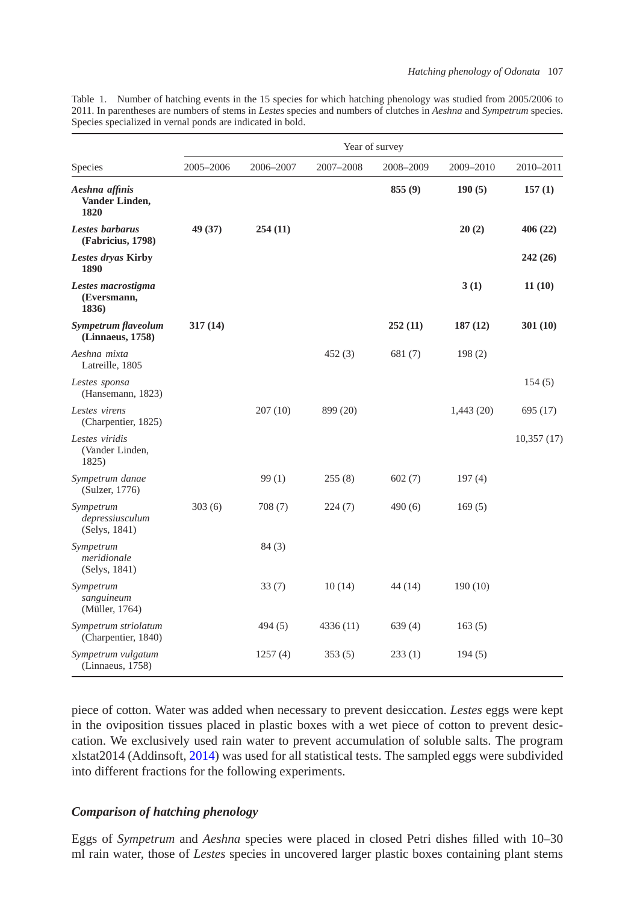|                                               | Year of survey |           |           |           |           |            |  |  |
|-----------------------------------------------|----------------|-----------|-----------|-----------|-----------|------------|--|--|
| Species                                       | 2005-2006      | 2006-2007 | 2007-2008 | 2008-2009 | 2009-2010 | 2010-2011  |  |  |
| Aeshna affinis<br>Vander Linden,<br>1820      |                |           |           | 855(9)    | 190(5)    | 157(1)     |  |  |
| Lestes barbarus<br>(Fabricius, 1798)          | 49 (37)        | 254(11)   |           |           | 20(2)     | 406 (22)   |  |  |
| Lestes dryas Kirby<br>1890                    |                |           |           |           |           | 242 (26)   |  |  |
| Lestes macrostigma<br>(Eversmann,<br>1836)    |                |           |           |           | 3(1)      | 11(10)     |  |  |
| Sympetrum flaveolum<br>(Linnaeus, 1758)       | 317(14)        |           |           | 252(11)   | 187(12)   | 301(10)    |  |  |
| Aeshna mixta<br>Latreille, 1805               |                |           | 452(3)    | 681(7)    | 198(2)    |            |  |  |
| Lestes sponsa<br>(Hansemann, 1823)            |                |           |           |           |           | 154(5)     |  |  |
| Lestes virens<br>(Charpentier, 1825)          |                | 207(10)   | 899 (20)  |           | 1,443(20) | 695 (17)   |  |  |
| Lestes viridis<br>(Vander Linden,<br>1825)    |                |           |           |           |           | 10,357(17) |  |  |
| Sympetrum danae<br>(Sulzer, 1776)             |                | 99(1)     | 255(8)    | 602(7)    | 197(4)    |            |  |  |
| Sympetrum<br>depressiusculum<br>(Selys, 1841) | 303(6)         | 708(7)    | 224(7)    | 490(6)    | 169(5)    |            |  |  |
| Sympetrum<br>meridionale<br>(Selys, 1841)     |                | 84(3)     |           |           |           |            |  |  |
| Sympetrum<br>sanguineum<br>(Müller, 1764)     |                | 33(7)     | 10(14)    | 44 (14)   | 190(10)   |            |  |  |
| Sympetrum striolatum<br>(Charpentier, 1840)   |                | 494 (5)   | 4336 (11) | 639(4)    | 163(5)    |            |  |  |
| Sympetrum vulgatum<br>(Linnaeus, 1758)        |                | 1257(4)   | 353(5)    | 233(1)    | 194(5)    |            |  |  |

<span id="page-2-0"></span>Table 1. Number of hatching events in the 15 species for which hatching phenology was studied from 2005/2006 to 2011. In parentheses are numbers of stems in *Lestes* species and numbers of clutches in *Aeshna* and *Sympetrum* species. Species specialized in vernal ponds are indicated in bold.

piece of cotton. Water was added when necessary to prevent desiccation. *Lestes* eggs were kept in the oviposition tissues placed in plastic boxes with a wet piece of cotton to prevent desiccation. We exclusively used rain water to prevent accumulation of soluble salts. The program xlstat2014 (Addinsoft, [2014\)](#page-16-3) was used for all statistical tests. The sampled eggs were subdivided into different fractions for the following experiments.

# *Comparison of hatching phenology*

Eggs of *Sympetrum* and *Aeshna* species were placed in closed Petri dishes filled with 10–30 ml rain water, those of *Lestes* species in uncovered larger plastic boxes containing plant stems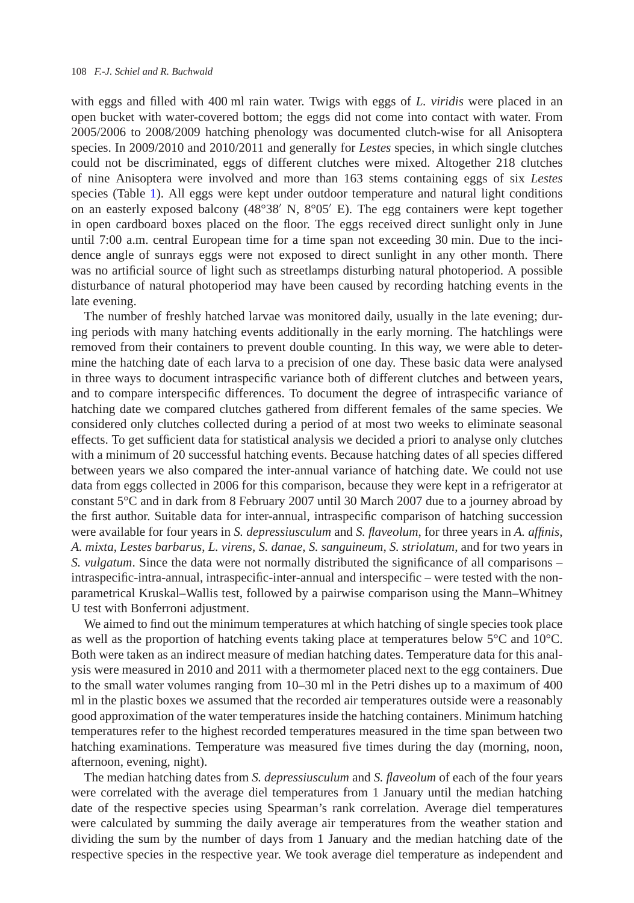with eggs and filled with 400 ml rain water. Twigs with eggs of *L. viridis* were placed in an open bucket with water-covered bottom; the eggs did not come into contact with water. From 2005/2006 to 2008/2009 hatching phenology was documented clutch-wise for all Anisoptera species. In 2009/2010 and 2010/2011 and generally for *Lestes* species, in which single clutches could not be discriminated, eggs of different clutches were mixed. Altogether 218 clutches of nine Anisoptera were involved and more than 163 stems containing eggs of six *Lestes* species (Table [1\)](#page-2-0). All eggs were kept under outdoor temperature and natural light conditions on an easterly exposed balcony  $(48°38' \text{ N}, 8°05' \text{ E})$ . The egg containers were kept together in open cardboard boxes placed on the floor. The eggs received direct sunlight only in June until 7:00 a.m. central European time for a time span not exceeding 30 min. Due to the incidence angle of sunrays eggs were not exposed to direct sunlight in any other month. There was no artificial source of light such as streetlamps disturbing natural photoperiod. A possible disturbance of natural photoperiod may have been caused by recording hatching events in the late evening.

The number of freshly hatched larvae was monitored daily, usually in the late evening; during periods with many hatching events additionally in the early morning. The hatchlings were removed from their containers to prevent double counting. In this way, we were able to determine the hatching date of each larva to a precision of one day. These basic data were analysed in three ways to document intraspecific variance both of different clutches and between years, and to compare interspecific differences. To document the degree of intraspecific variance of hatching date we compared clutches gathered from different females of the same species. We considered only clutches collected during a period of at most two weeks to eliminate seasonal effects. To get sufficient data for statistical analysis we decided a priori to analyse only clutches with a minimum of 20 successful hatching events. Because hatching dates of all species differed between years we also compared the inter-annual variance of hatching date. We could not use data from eggs collected in 2006 for this comparison, because they were kept in a refrigerator at constant 5°C and in dark from 8 February 2007 until 30 March 2007 due to a journey abroad by the first author. Suitable data for inter-annual, intraspecific comparison of hatching succession were available for four years in *S. depressiusculum* and *S. flaveolum*, for three years in *A. affinis*, *A. mixta*, *Lestes barbarus*, *L. virens*, *S. danae*, *S. sanguineum*, *S. striolatum*, and for two years in *S. vulgatum*. Since the data were not normally distributed the significance of all comparisons – intraspecific-intra-annual, intraspecific-inter-annual and interspecific – were tested with the nonparametrical Kruskal–Wallis test, followed by a pairwise comparison using the Mann–Whitney U test with Bonferroni adjustment.

We aimed to find out the minimum temperatures at which hatching of single species took place as well as the proportion of hatching events taking place at temperatures below  $5^{\circ}$ C and  $10^{\circ}$ C. Both were taken as an indirect measure of median hatching dates. Temperature data for this analysis were measured in 2010 and 2011 with a thermometer placed next to the egg containers. Due to the small water volumes ranging from 10–30 ml in the Petri dishes up to a maximum of 400 ml in the plastic boxes we assumed that the recorded air temperatures outside were a reasonably good approximation of the water temperatures inside the hatching containers. Minimum hatching temperatures refer to the highest recorded temperatures measured in the time span between two hatching examinations. Temperature was measured five times during the day (morning, noon, afternoon, evening, night).

The median hatching dates from *S. depressiusculum* and *S. flaveolum* of each of the four years were correlated with the average diel temperatures from 1 January until the median hatching date of the respective species using Spearman's rank correlation. Average diel temperatures were calculated by summing the daily average air temperatures from the weather station and dividing the sum by the number of days from 1 January and the median hatching date of the respective species in the respective year. We took average diel temperature as independent and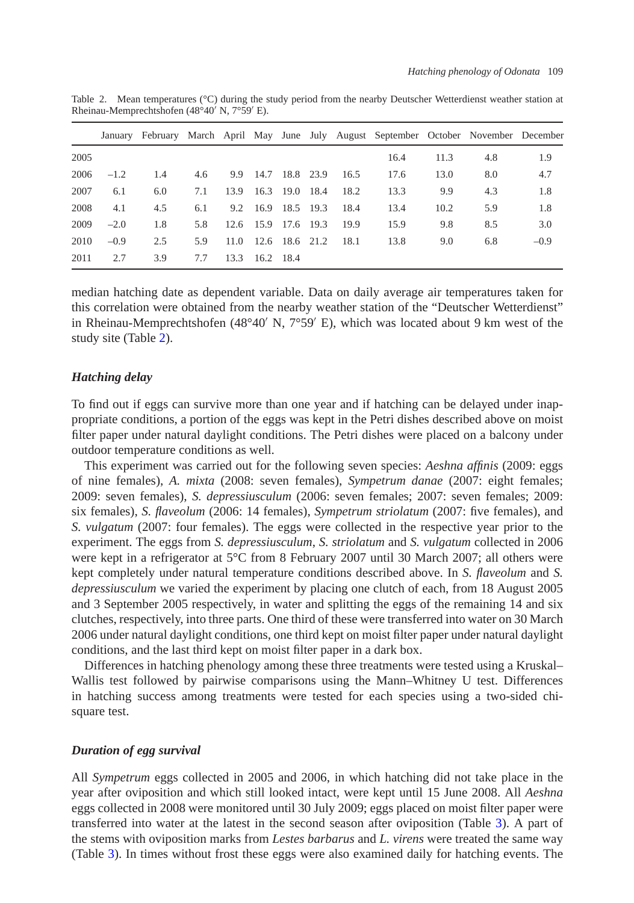|      |        |     |               |                     |        |       | January February March April May June July August September October November December |      |     |        |
|------|--------|-----|---------------|---------------------|--------|-------|---------------------------------------------------------------------------------------|------|-----|--------|
| 2005 |        |     |               |                     |        |       | 16.4                                                                                  | 11.3 | 4.8 | 1.9    |
| 2006 | $-1.2$ | 1.4 | $4.6^{\circ}$ | 9.9 14.7 18.8 23.9  |        | -16.5 | 17.6                                                                                  | 13.0 | 8.0 | 4.7    |
| 2007 | 6.1    | 6.0 | 7.1           | 13.9 16.3 19.0      | - 18.4 | 18.2  | 13.3                                                                                  | 9.9  | 4.3 | 1.8    |
| 2008 | 4.1    | 4.5 | 6.1           | 9.2 16.9 18.5 19.3  |        | 18.4  | 13.4                                                                                  | 10.2 | 5.9 | 1.8    |
| 2009 | $-2.0$ | 1.8 | 5.8           | 12.6 15.9 17.6 19.3 |        | 19.9  | 15.9                                                                                  | 9.8  | 8.5 | 3.0    |
| 2010 | $-0.9$ | 2.5 | 5.9           | 11.0 12.6 18.6 21.2 |        | -18.1 | 13.8                                                                                  | 9.0  | 6.8 | $-0.9$ |
| 2011 | 2.7    | 3.9 | 7.7           | 13.3 16.2 18.4      |        |       |                                                                                       |      |     |        |

<span id="page-4-0"></span>Table 2. Mean temperatures (°C) during the study period from the nearby Deutscher Wetterdienst weather station at Rheinau-Memprechtshofen (48°40' N, 7°59' E).

median hatching date as dependent variable. Data on daily average air temperatures taken for this correlation were obtained from the nearby weather station of the "Deutscher Wetterdienst" in Rheinau-Memprechtshofen (48°40' N, 7°59' E), which was located about 9 km west of the study site (Table [2\)](#page-4-0).

# *Hatching delay*

To find out if eggs can survive more than one year and if hatching can be delayed under inappropriate conditions, a portion of the eggs was kept in the Petri dishes described above on moist filter paper under natural daylight conditions. The Petri dishes were placed on a balcony under outdoor temperature conditions as well.

This experiment was carried out for the following seven species: *Aeshna affinis* (2009: eggs of nine females), *A. mixta* (2008: seven females), *Sympetrum danae* (2007: eight females; 2009: seven females), *S. depressiusculum* (2006: seven females; 2007: seven females; 2009: six females), *S. flaveolum* (2006: 14 females), *Sympetrum striolatum* (2007: five females), and *S. vulgatum* (2007: four females). The eggs were collected in the respective year prior to the experiment. The eggs from *S. depressiusculum*, *S. striolatum* and *S. vulgatum* collected in 2006 were kept in a refrigerator at 5°C from 8 February 2007 until 30 March 2007; all others were kept completely under natural temperature conditions described above. In *S. flaveolum* and *S. depressiusculum* we varied the experiment by placing one clutch of each, from 18 August 2005 and 3 September 2005 respectively, in water and splitting the eggs of the remaining 14 and six clutches, respectively, into three parts. One third of these were transferred into water on 30 March 2006 under natural daylight conditions, one third kept on moist filter paper under natural daylight conditions, and the last third kept on moist filter paper in a dark box.

Differences in hatching phenology among these three treatments were tested using a Kruskal– Wallis test followed by pairwise comparisons using the Mann–Whitney U test. Differences in hatching success among treatments were tested for each species using a two-sided chisquare test.

### *Duration of egg survival*

All *Sympetrum* eggs collected in 2005 and 2006, in which hatching did not take place in the year after oviposition and which still looked intact, were kept until 15 June 2008. All *Aeshna* eggs collected in 2008 were monitored until 30 July 2009; eggs placed on moist filter paper were transferred into water at the latest in the second season after oviposition (Table [3\)](#page-5-0). A part of the stems with oviposition marks from *Lestes barbarus* and *L. virens* were treated the same way (Table [3\)](#page-5-0). In times without frost these eggs were also examined daily for hatching events. The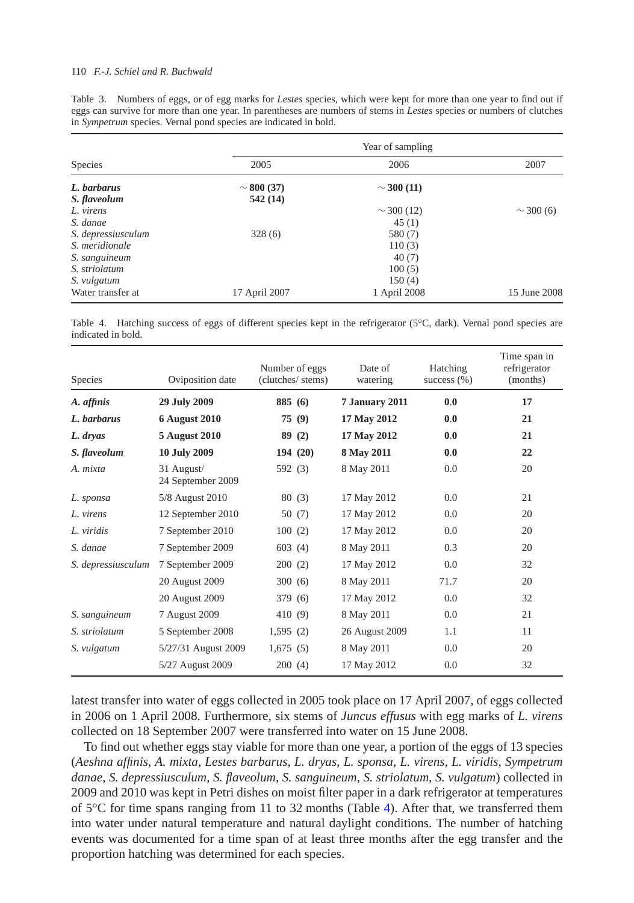|                    | Year of sampling |                 |                |  |  |  |
|--------------------|------------------|-----------------|----------------|--|--|--|
| Species            | 2005             | 2006            | 2007           |  |  |  |
| L. barbarus        | $\sim 800(37)$   | $\sim$ 300 (11) |                |  |  |  |
| S. flaveolum       | 542(14)          |                 |                |  |  |  |
| L. virens          |                  | $\sim$ 300 (12) | $\sim$ 300 (6) |  |  |  |
| S. danae           |                  | 45(1)           |                |  |  |  |
| S. depressiusculum | 328(6)           | 580 (7)         |                |  |  |  |
| S. meridionale     |                  | 110(3)          |                |  |  |  |
| S. sanguineum      |                  | 40(7)           |                |  |  |  |
| S. striolatum      |                  | 100(5)          |                |  |  |  |
| S. <i>vulgatum</i> |                  | 150(4)          |                |  |  |  |
| Water transfer at  | 17 April 2007    | 1 April 2008    | 15 June 2008   |  |  |  |

<span id="page-5-0"></span>Table 3. Numbers of eggs, or of egg marks for *Lestes* species, which were kept for more than one year to find out if eggs can survive for more than one year. In parentheses are numbers of stems in *Lestes* species or numbers of clutches in *Sympetrum* species. Vernal pond species are indicated in bold.

<span id="page-5-1"></span>Table 4. Hatching success of eggs of different species kept in the refrigerator (5°C, dark). Vernal pond species are indicated in bold.

| Oviposition date                | Number of eggs<br>(clutches/stems) | Date of<br>watering | Hatching<br>success $(\% )$ | Time span in<br>refrigerator<br>(months) |
|---------------------------------|------------------------------------|---------------------|-----------------------------|------------------------------------------|
| 29 July 2009                    | 885 (6)                            | 7 January 2011      | 0.0                         | 17                                       |
| <b>6 August 2010</b>            | 75(9)                              | 17 May 2012         | 0.0                         | 21                                       |
| <b>5 August 2010</b>            | 89(2)                              | 17 May 2012         | 0.0                         | 21                                       |
| <b>10 July 2009</b>             | 194(20)                            | 8 May 2011          | 0.0                         | 22                                       |
| 31 August/<br>24 September 2009 | 592 (3)                            | 8 May 2011          | 0.0                         | 20                                       |
| 5/8 August 2010                 | 80(3)                              | 17 May 2012         | 0.0                         | 21                                       |
| 12 September 2010               | 50(7)                              | 17 May 2012         | 0.0                         | 20                                       |
| 7 September 2010                | 100(2)                             | 17 May 2012         | 0.0                         | 20                                       |
| 7 September 2009                | 603(4)                             | 8 May 2011          | 0.3                         | 20                                       |
| 7 September 2009                | 200(2)                             | 17 May 2012         | 0.0                         | 32                                       |
| 20 August 2009                  | 300(6)                             | 8 May 2011          | 71.7                        | 20                                       |
| 20 August 2009                  | 379 (6)                            | 17 May 2012         | 0.0                         | 32                                       |
| 7 August 2009                   | 410(9)                             | 8 May 2011          | 0.0                         | 21                                       |
| 5 September 2008                | 1,595(2)                           | 26 August 2009      | 1.1                         | 11                                       |
| 5/27/31 August 2009             | 1,675(5)                           | 8 May 2011          | 0.0                         | 20                                       |
| 5/27 August 2009                | 200(4)                             | 17 May 2012         | 0.0                         | 32                                       |
|                                 |                                    |                     |                             |                                          |

latest transfer into water of eggs collected in 2005 took place on 17 April 2007, of eggs collected in 2006 on 1 April 2008. Furthermore, six stems of *Juncus effusus* with egg marks of *L. virens* collected on 18 September 2007 were transferred into water on 15 June 2008.

To find out whether eggs stay viable for more than one year, a portion of the eggs of 13 species (*Aeshna affinis*, *A. mixta*, *Lestes barbarus*, *L. dryas*, *L. sponsa*, *L. virens*, *L. viridis*, *Sympetrum danae*, *S. depressiusculum*, *S. flaveolum*, *S. sanguineum*, *S. striolatum*, *S. vulgatum*) collected in 2009 and 2010 was kept in Petri dishes on moist filter paper in a dark refrigerator at temperatures of 5°C for time spans ranging from 11 to 32 months (Table [4\)](#page-5-1). After that, we transferred them into water under natural temperature and natural daylight conditions. The number of hatching events was documented for a time span of at least three months after the egg transfer and the proportion hatching was determined for each species.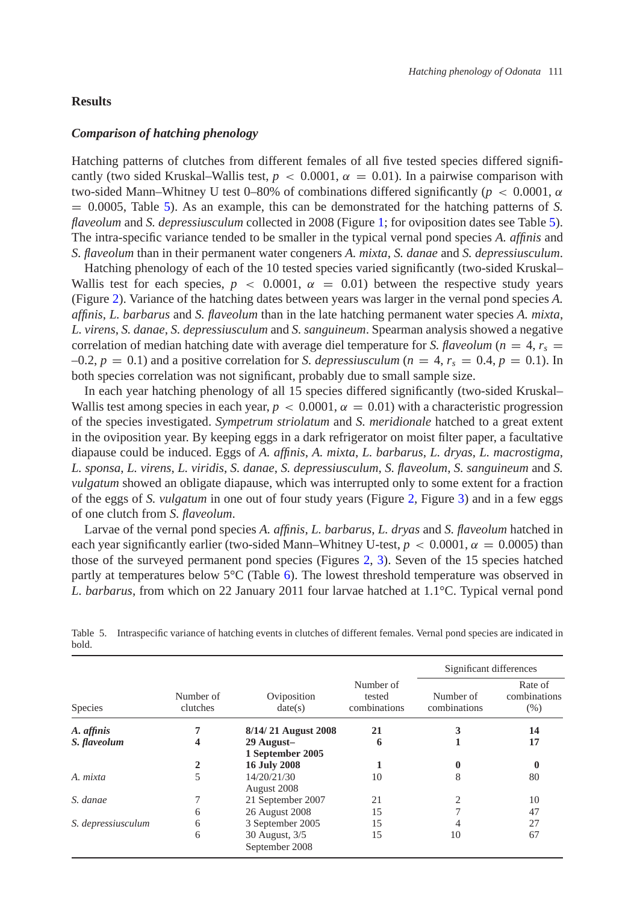# **Results**

# *Comparison of hatching phenology*

Hatching patterns of clutches from different females of all five tested species differed significantly (two sided Kruskal–Wallis test,  $p < 0.0001$ ,  $\alpha = 0.01$ ). In a pairwise comparison with two-sided Mann–Whitney U test 0–80% of combinations differed significantly ( $p < 0.0001$ ,  $\alpha$ )  $= 0.0005$ , Table [5\)](#page-6-0). As an example, this can be demonstrated for the hatching patterns of *S*. *flaveolum* and *S. depressiusculum* collected in 2008 (Figure [1;](#page-7-0) for oviposition dates see Table [5\)](#page-6-0). The intra-specific variance tended to be smaller in the typical vernal pond species *A. affinis* and *S. flaveolum* than in their permanent water congeners *A. mixta*, *S. danae* and *S. depressiusculum*.

Hatching phenology of each of the 10 tested species varied significantly (two-sided Kruskal– Wallis test for each species,  $p \le 0.0001$ ,  $\alpha = 0.01$ ) between the respective study years (Figure [2\)](#page-7-1). Variance of the hatching dates between years was larger in the vernal pond species *A. affinis*, *L. barbarus* and *S. flaveolum* than in the late hatching permanent water species *A. mixta*, *L. virens*, *S. danae*, *S. depressiusculum* and *S. sanguineum*. Spearman analysis showed a negative correlation of median hatching date with average diel temperature for *S. flaveolum* ( $n = 4$ ,  $r_s =$  $-0.2$ ,  $p = 0.1$ ) and a positive correlation for *S. depressiusculum* ( $n = 4$ ,  $r_s = 0.4$ ,  $p = 0.1$ ). In both species correlation was not significant, probably due to small sample size.

In each year hatching phenology of all 15 species differed significantly (two-sided Kruskal– Wallis test among species in each year,  $p < 0.0001$ ,  $\alpha = 0.01$ ) with a characteristic progression of the species investigated. *Sympetrum striolatum* and *S. meridionale* hatched to a great extent in the oviposition year. By keeping eggs in a dark refrigerator on moist filter paper, a facultative diapause could be induced. Eggs of *A. affinis*, *A. mixta*, *L. barbarus*, *L. dryas*, *L. macrostigma*, *L. sponsa*, *L. virens*, *L. viridis*, *S. danae*, *S. depressiusculum*, *S. flaveolum*, *S. sanguineum* and *S. vulgatum* showed an obligate diapause, which was interrupted only to some extent for a fraction of the eggs of *S. vulgatum* in one out of four study years (Figure [2,](#page-7-1) Figure [3\)](#page-8-0) and in a few eggs of one clutch from *S. flaveolum*.

Larvae of the vernal pond species *A. affinis*, *L. barbarus*, *L. dryas* and *S. flaveolum* hatched in each year significantly earlier (two-sided Mann–Whitney U-test,  $p < 0.0001$ ,  $\alpha = 0.0005$ ) than those of the surveyed permanent pond species (Figures [2,](#page-7-1) [3\)](#page-8-0). Seven of the 15 species hatched partly at temperatures below 5°C (Table [6\)](#page-8-1). The lowest threshold temperature was observed in *L. barbarus*, from which on 22 January 2011 four larvae hatched at 1.1°C. Typical vernal pond

|                    |                       |                                  |                                     | Significant differences   |                                 |  |
|--------------------|-----------------------|----------------------------------|-------------------------------------|---------------------------|---------------------------------|--|
| Species            | Number of<br>clutches | Oviposition<br>date(s)           | Number of<br>tested<br>combinations | Number of<br>combinations | Rate of<br>combinations<br>(% ) |  |
| A. affinis         |                       | 8/14/21 August 2008              | 21                                  | 3                         | 14                              |  |
| S. flaveolum       | 4                     | 29 August-<br>1 September 2005   | 6                                   |                           | 17                              |  |
|                    | $\mathbf{2}$          | <b>16 July 2008</b>              | 1                                   | $\bf{0}$                  | $\mathbf 0$                     |  |
| A. mixta           | 5                     | 14/20/21/30<br>August 2008       | 10                                  | 8                         | 80                              |  |
| S. danae           |                       | 21 September 2007                | 21                                  |                           | 10                              |  |
|                    | 6                     | 26 August 2008                   | 15                                  |                           | 47                              |  |
| S. depressiusculum | 6                     | 3 September 2005                 | 15                                  | 4                         | 27                              |  |
|                    | 6                     | 30 August, 3/5<br>September 2008 | 15                                  | 10                        | 67                              |  |

<span id="page-6-0"></span>Table 5. Intraspecific variance of hatching events in clutches of different females. Vernal pond species are indicated in bold.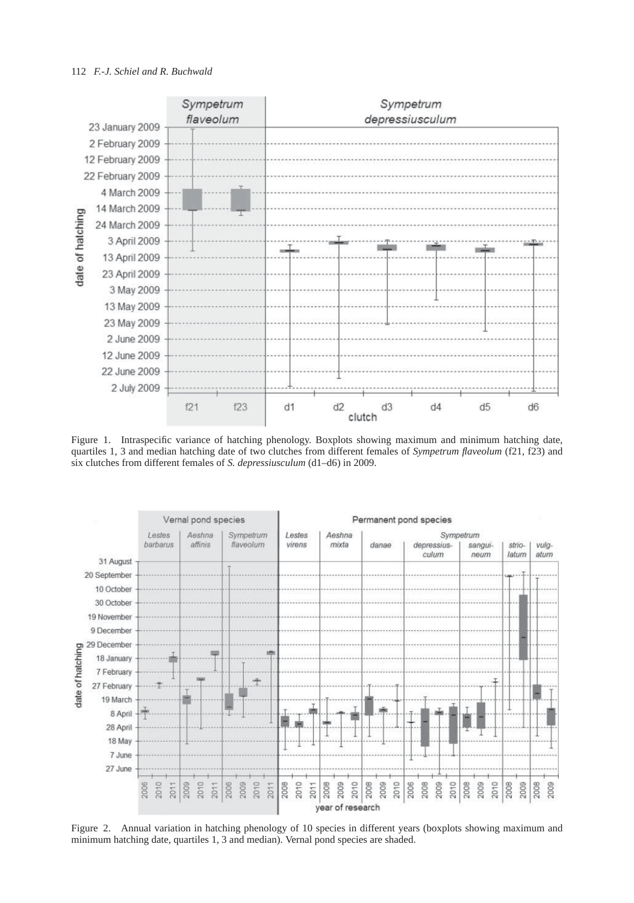

<span id="page-7-0"></span>Figure 1. Intraspecific variance of hatching phenology. Boxplots showing maximum and minimum hatching date, quartiles 1, 3 and median hatching date of two clutches from different females of *Sympetrum flaveolum* (f21, f23) and six clutches from different females of *S. depressiusculum* (d1–d6) in 2009.



<span id="page-7-1"></span>Figure 2. Annual variation in hatching phenology of 10 species in different years (boxplots showing maximum and minimum hatching date, quartiles 1, 3 and median). Vernal pond species are shaded.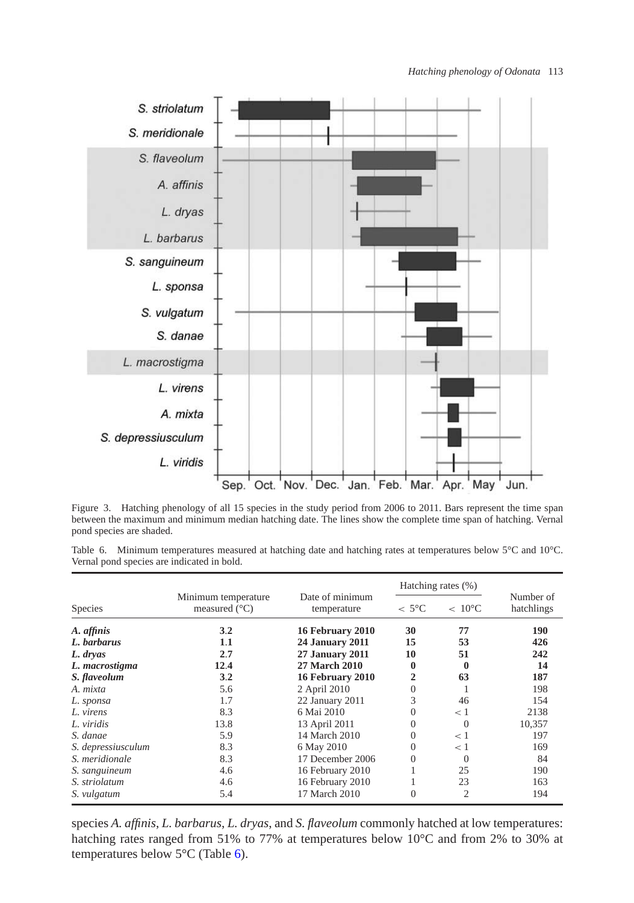

<span id="page-8-0"></span>Figure 3. Hatching phenology of all 15 species in the study period from 2006 to 2011. Bars represent the time span between the maximum and minimum median hatching date. The lines show the complete time span of hatching. Vernal pond species are shaded.

<span id="page-8-1"></span>Table 6. Minimum temperatures measured at hatching date and hatching rates at temperatures below 5°C and 10°C. Vernal pond species are indicated in bold.

|                    |                                               |                                |                | Hatching rates (%) |                         |
|--------------------|-----------------------------------------------|--------------------------------|----------------|--------------------|-------------------------|
| <b>Species</b>     | Minimum temperature<br>measured $(^{\circ}C)$ | Date of minimum<br>temperature | $< 5^{\circ}C$ | $~<~10^{\circ}$ C  | Number of<br>hatchlings |
| A. affinis         | 3.2                                           | 16 February 2010               | 30             | 77                 | <b>190</b>              |
| L. barbarus        | 1.1                                           | <b>24 January 2011</b>         | 15             | 53                 | 426                     |
| L. dryas           | 2.7                                           | <b>27 January 2011</b>         | 10             | 51                 | 242                     |
| L. macrostigma     | 12.4                                          | 27 March 2010                  | 0              | $\bf{0}$           | 14                      |
| S. flaveolum       | 3.2                                           | 16 February 2010               | 2              | 63                 | 187                     |
| A. mixta           | 5.6                                           | 2 April 2010                   | 0              |                    | 198                     |
| L. sponsa          | 1.7                                           | 22 January 2011                | 3              | 46                 | 154                     |
| L. virens          | 8.3                                           | 6 Mai 2010                     | 0              | < 1                | 2138                    |
| L. viridis         | 13.8                                          | 13 April 2011                  | 0              | $\Omega$           | 10,357                  |
| S. danae           | 5.9                                           | 14 March 2010                  | 0              | < 1                | 197                     |
| S. depressiusculum | 8.3                                           | 6 May 2010                     | 0              | < 1                | 169                     |
| S. meridionale     | 8.3                                           | 17 December 2006               | 0              | $\Omega$           | 84                      |
| S. sanguineum      | 4.6                                           | 16 February 2010               |                | 25                 | 190                     |
| S. striolatum      | 4.6                                           | 16 February 2010               |                | 23                 | 163                     |
| S. <i>vulgatum</i> | 5.4                                           | 17 March 2010                  | 0              | $\overline{c}$     | 194                     |

species *A. affinis*, *L. barbarus*, *L. dryas*, and *S. flaveolum* commonly hatched at low temperatures: hatching rates ranged from 51% to 77% at temperatures below 10°C and from 2% to 30% at temperatures below 5°C (Table [6\)](#page-8-1).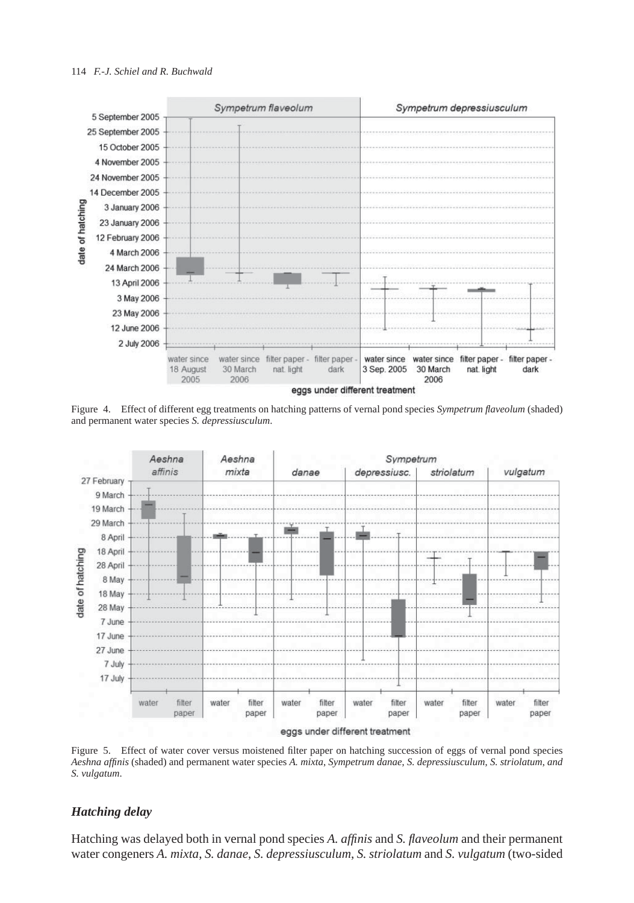

<span id="page-9-0"></span>Figure 4. Effect of different egg treatments on hatching patterns of vernal pond species *Sympetrum flaveolum* (shaded) and permanent water species *S. depressiusculum*.



<span id="page-9-1"></span>Figure 5. Effect of water cover versus moistened filter paper on hatching succession of eggs of vernal pond species *Aeshna affinis* (shaded) and permanent water species *A. mixta*, *Sympetrum danae*, *S. depressiusculum*, *S. striolatum*, *and S. vulgatum*.

# *Hatching delay*

Hatching was delayed both in vernal pond species *A. affinis* and *S. flaveolum* and their permanent water congeners *A. mixta*, *S. danae*, *S. depressiusculum*, *S. striolatum* and *S. vulgatum* (two-sided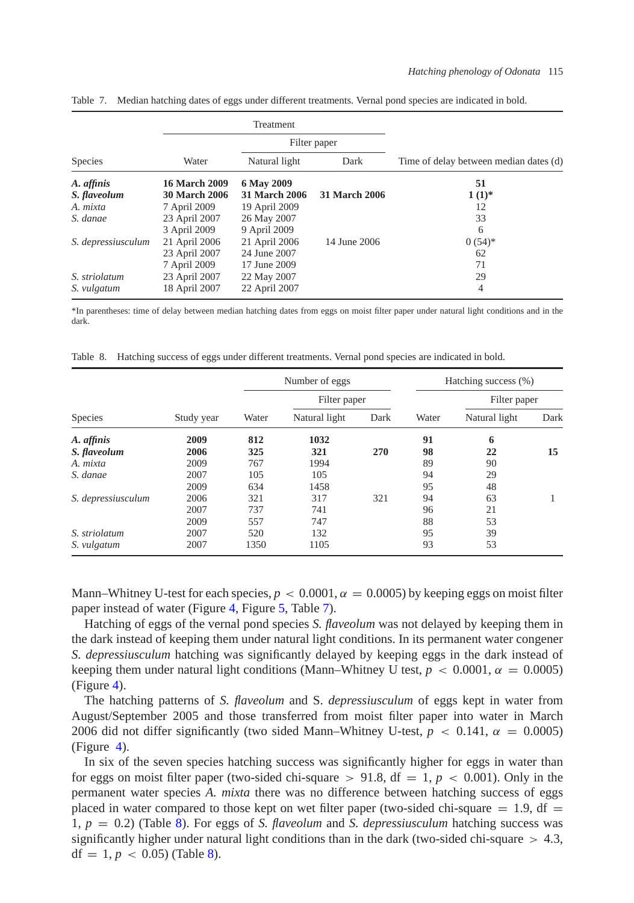|                    |                      | Treatment            |                      |                                        |
|--------------------|----------------------|----------------------|----------------------|----------------------------------------|
|                    |                      |                      | Filter paper         |                                        |
| <b>Species</b>     | Water                | Natural light        | Dark                 | Time of delay between median dates (d) |
| A. affinis         | <b>16 March 2009</b> | 6 May 2009           |                      | 51                                     |
| S. flaveolum       | <b>30 March 2006</b> | <b>31 March 2006</b> | <b>31 March 2006</b> | $1(1)^*$                               |
| A. mixta           | 7 April 2009         | 19 April 2009        |                      | 12                                     |
| S. danae           | 23 April 2007        | 26 May 2007          |                      | 33                                     |
|                    | 3 April 2009         | 9 April 2009         |                      | 6                                      |
| S. depressiusculum | 21 April 2006        | 21 April 2006        | 14 June 2006         | $0(54)*$                               |
|                    | 23 April 2007        | 24 June 2007         |                      | 62                                     |
|                    | 7 April 2009         | 17 June 2009         |                      | 71                                     |
| S. striolatum      | 23 April 2007        | 22 May 2007          |                      | 29                                     |
| S. <i>vulgatum</i> | 18 April 2007        | 22 April 2007        |                      | 4                                      |

<span id="page-10-0"></span>Table 7. Median hatching dates of eggs under different treatments. Vernal pond species are indicated in bold.

\*In parentheses: time of delay between median hatching dates from eggs on moist filter paper under natural light conditions and in the dark.

<span id="page-10-1"></span>Table 8. Hatching success of eggs under different treatments. Vernal pond species are indicated in bold.

|                    |            |       | Number of eggs |      | Hatching success (%) |               |      |  |
|--------------------|------------|-------|----------------|------|----------------------|---------------|------|--|
|                    |            |       | Filter paper   |      |                      | Filter paper  |      |  |
| <b>Species</b>     | Study year | Water | Natural light  | Dark | Water                | Natural light | Dark |  |
| A. affinis         | 2009       | 812   | 1032           |      | 91                   | 6             |      |  |
| S. flaveolum       | 2006       | 325   | 321            | 270  | 98                   | 22            | 15   |  |
| A. mixta           | 2009       | 767   | 1994           |      | 89                   | 90            |      |  |
| S. danae           | 2007       | 105   | 105            |      | 94                   | 29            |      |  |
|                    | 2009       | 634   | 1458           |      | 95                   | 48            |      |  |
| S. depressiusculum | 2006       | 321   | 317            | 321  | 94                   | 63            |      |  |
|                    | 2007       | 737   | 741            |      | 96                   | 21            |      |  |
|                    | 2009       | 557   | 747            |      | 88                   | 53            |      |  |
| S. striolatum      | 2007       | 520   | 132            |      | 95                   | 39            |      |  |
| S. vulgatum        | 2007       | 1350  | 1105           |      | 93                   | 53            |      |  |

Mann–Whitney U-test for each species,  $p < 0.0001$ ,  $\alpha = 0.0005$ ) by keeping eggs on moist filter paper instead of water (Figure [4,](#page-9-0) Figure [5,](#page-9-1) Table [7\)](#page-10-0).

Hatching of eggs of the vernal pond species *S. flaveolum* was not delayed by keeping them in the dark instead of keeping them under natural light conditions. In its permanent water congener *S. depressiusculum* hatching was significantly delayed by keeping eggs in the dark instead of keeping them under natural light conditions (Mann–Whitney U test,  $p < 0.0001$ ,  $\alpha = 0.0005$ ) (Figure [4\)](#page-9-0).

The hatching patterns of *S. flaveolum* and S. *depressiusculum* of eggs kept in water from August/September 2005 and those transferred from moist filter paper into water in March 2006 did not differ significantly (two sided Mann–Whitney U-test,  $p < 0.141$ ,  $\alpha = 0.0005$ )  $(Figure 4)$  $(Figure 4)$ .

In six of the seven species hatching success was significantly higher for eggs in water than for eggs on moist filter paper (two-sided chi-square  $> 91.8$ , df  $= 1, p < 0.001$ ). Only in the permanent water species *A. mixta* there was no difference between hatching success of eggs placed in water compared to those kept on wet filter paper (two-sided chi-square  $= 1.9$ , df  $=$ 1, *p* = 0.2) (Table [8\)](#page-10-1). For eggs of *S. flaveolum* and *S. depressiusculum* hatching success was significantly higher under natural light conditions than in the dark (two-sided chi-square  $> 4.3$ , df =  $1, p < 0.05$ ) (Table [8\)](#page-10-1).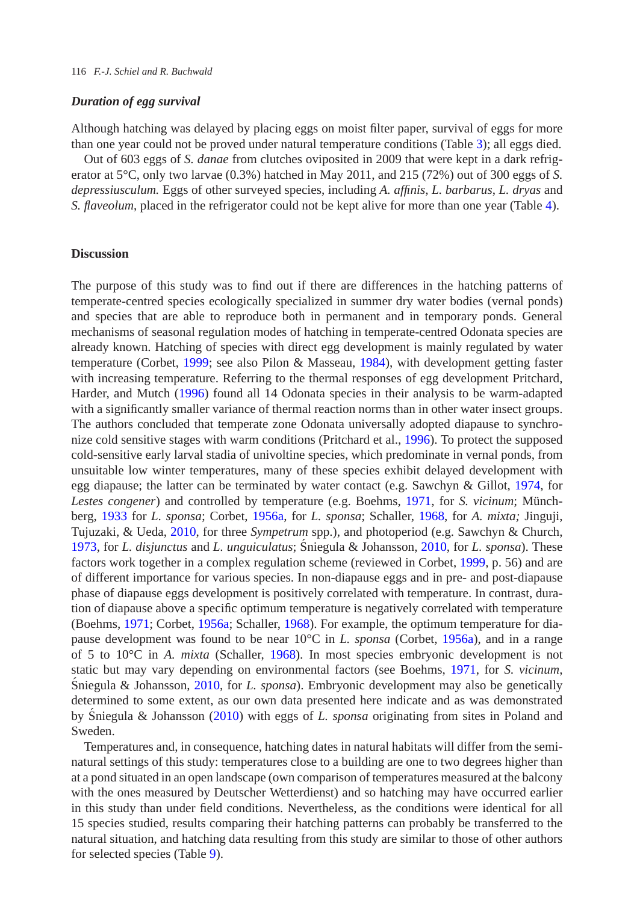### *Duration of egg survival*

Although hatching was delayed by placing eggs on moist filter paper, survival of eggs for more than one year could not be proved under natural temperature conditions (Table [3\)](#page-5-0); all eggs died.

Out of 603 eggs of *S. danae* from clutches oviposited in 2009 that were kept in a dark refrigerator at 5°C, only two larvae (0.3%) hatched in May 2011, and 215 (72%) out of 300 eggs of *S. depressiusculum.* Eggs of other surveyed species, including *A. affinis*, *L. barbarus*, *L. dryas* and *S. flaveolum*, placed in the refrigerator could not be kept alive for more than one year (Table [4\)](#page-5-1).

### **Discussion**

The purpose of this study was to find out if there are differences in the hatching patterns of temperate-centred species ecologically specialized in summer dry water bodies (vernal ponds) and species that are able to reproduce both in permanent and in temporary ponds. General mechanisms of seasonal regulation modes of hatching in temperate-centred Odonata species are already known. Hatching of species with direct egg development is mainly regulated by water temperature (Corbet, [1999;](#page-16-0) see also Pilon & Masseau, [1984\)](#page-17-3), with development getting faster with increasing temperature. Referring to the thermal responses of egg development Pritchard, Harder, and Mutch [\(1996\)](#page-17-4) found all 14 Odonata species in their analysis to be warm-adapted with a significantly smaller variance of thermal reaction norms than in other water insect groups. The authors concluded that temperate zone Odonata universally adopted diapause to synchronize cold sensitive stages with warm conditions (Pritchard et al., [1996\)](#page-17-4). To protect the supposed cold-sensitive early larval stadia of univoltine species, which predominate in vernal ponds, from unsuitable low winter temperatures, many of these species exhibit delayed development with egg diapause; the latter can be terminated by water contact (e.g. Sawchyn & Gillot, [1974,](#page-17-5) for *Lestes congener*) and controlled by temperature (e.g. Boehms, [1971,](#page-16-1) for *S. vicinum*; Münchberg, [1933](#page-17-6) for *L. sponsa*; Corbet, [1956a,](#page-16-2) for *L. sponsa*; Schaller, [1968,](#page-17-7) for *A. mixta;* Jinguji, Tujuzaki, & Ueda, [2010,](#page-17-8) for three *Sympetrum* spp.), and photoperiod (e.g. Sawchyn & Church, [1973,](#page-17-2) for *L. disjunctus* and *L. unguiculatus*; Sniegula & Johansson, ´ [2010,](#page-17-9) for *L. sponsa*). These factors work together in a complex regulation scheme (reviewed in Corbet, [1999,](#page-16-0) p. 56) and are of different importance for various species. In non-diapause eggs and in pre- and post-diapause phase of diapause eggs development is positively correlated with temperature. In contrast, duration of diapause above a specific optimum temperature is negatively correlated with temperature (Boehms, [1971;](#page-16-1) Corbet, [1956a;](#page-16-2) Schaller, [1968\)](#page-17-7). For example, the optimum temperature for diapause development was found to be near 10°C in *L. sponsa* (Corbet, [1956a\)](#page-16-2), and in a range of 5 to 10°C in *A. mixta* (Schaller, [1968\)](#page-17-7). In most species embryonic development is not static but may vary depending on environmental factors (see Boehms, [1971,](#page-16-1) for *S. vicinum*, Sniegula & Johansson,  $2010$ , for *L. sponsa*). Embryonic development may also be genetically determined to some extent, as our own data presented here indicate and as was demonstrated by Sniegula & Johansson ([2010\)](#page-17-9) with eggs of *L. sponsa* originating from sites in Poland and Sweden.

Temperatures and, in consequence, hatching dates in natural habitats will differ from the seminatural settings of this study: temperatures close to a building are one to two degrees higher than at a pond situated in an open landscape (own comparison of temperatures measured at the balcony with the ones measured by Deutscher Wetterdienst) and so hatching may have occurred earlier in this study than under field conditions. Nevertheless, as the conditions were identical for all 15 species studied, results comparing their hatching patterns can probably be transferred to the natural situation, and hatching data resulting from this study are similar to those of other authors for selected species (Table [9\)](#page-12-0).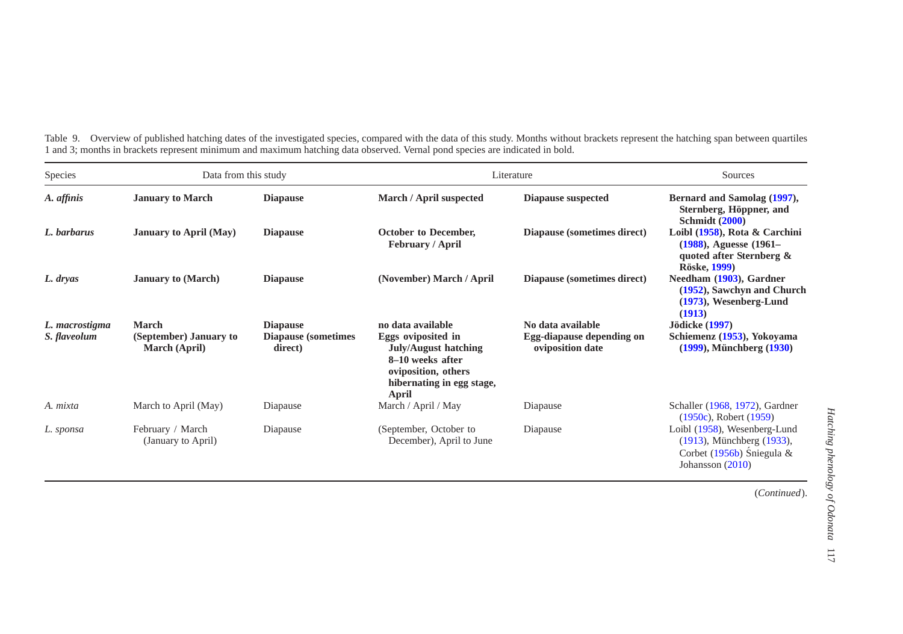| Species        | Data from this study                    |                                       |                                                                                                                                    | Literature                                    | Sources                                                                                                         |
|----------------|-----------------------------------------|---------------------------------------|------------------------------------------------------------------------------------------------------------------------------------|-----------------------------------------------|-----------------------------------------------------------------------------------------------------------------|
| A. affinis     | <b>January to March</b>                 | <b>Diapause</b>                       | March / April suspected                                                                                                            | Diapause suspected                            | Bernard and Samolag (1997),<br>Sternberg, Höppner, and<br><b>Schmidt</b> (2000)                                 |
| L. barbarus    | <b>January to April (May)</b>           | <b>Diapause</b>                       | <b>October to December,</b><br><b>February / April</b>                                                                             | Diapause (sometimes direct)                   | Loibl (1958), Rota & Carchini<br>$(1988)$ , Aguesse $(1961-$<br>quoted after Sternberg &<br><b>Röske, 1999)</b> |
| L. dryas       | <b>January to (March)</b>               | <b>Diapause</b>                       | (November) March / April                                                                                                           | Diapause (sometimes direct)                   | Needham (1903), Gardner<br>(1952), Sawchyn and Church<br>$(1973)$ , Wesenberg-Lund<br>(1913)                    |
| L. macrostigma | <b>March</b>                            | <b>Diapause</b>                       | no data available                                                                                                                  | No data available                             | <b>Jödicke</b> (1997)                                                                                           |
| S. flaveolum   | (September) January to<br>March (April) | <b>Diapause</b> (sometimes<br>direct) | Eggs oviposited in<br><b>July/August hatching</b><br>8-10 weeks after<br>oviposition, others<br>hibernating in egg stage,<br>April | Egg-diapause depending on<br>oviposition date | Schiemenz (1953), Yokoyama<br>$(1999)$ , Münchberg $(1930)$                                                     |
| A. mixta       | March to April (May)                    | Diapause                              | March / April / May                                                                                                                | Diapause                                      | Schaller (1968, 1972), Gardner<br>$(1950c)$ , Robert $(1959)$                                                   |
| L. sponsa      | February / March<br>(January to April)  | Diapause                              | (September, October to<br>December), April to June                                                                                 | Diapause                                      | Loibl (1958), Wesenberg-Lund<br>(1913), Münchberg (1933),<br>Corbet $(1956b)$ Śniegula &<br>Johansson $(2010)$  |

Table 9. Overview of published hatching dates of the investigated species, compared with the data of this study. Months without brackets represen<sup>t</sup> the hatching span between quartiles 1 and 3; months in brackets represen<sup>t</sup> minimum and maximum hatching data observed. Vernal pond species are indicated in bold.

<span id="page-12-0"></span>(*Continued*).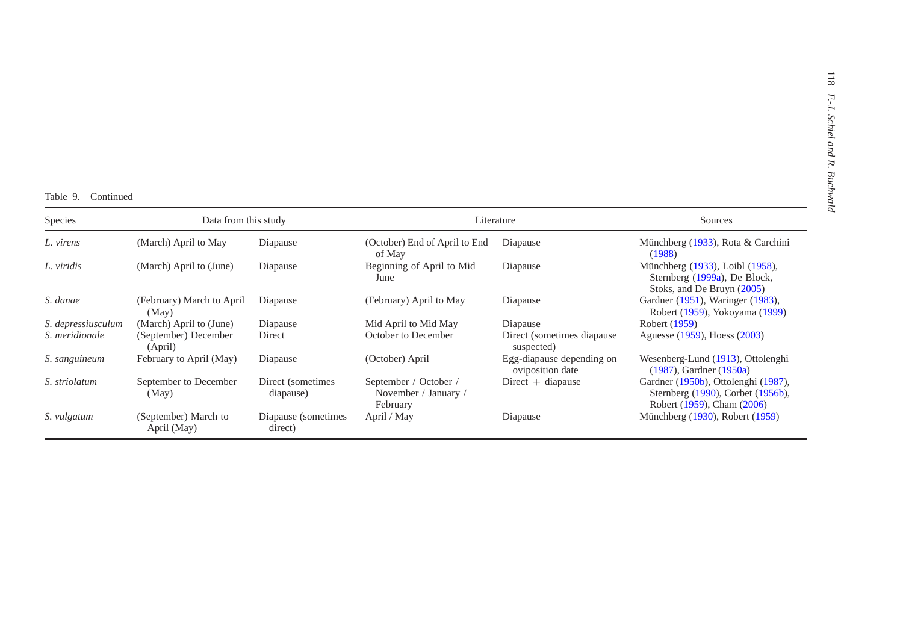| Continued<br>Table 9. |                                     |                                 |                                                           |                                               |                                                                                                        |
|-----------------------|-------------------------------------|---------------------------------|-----------------------------------------------------------|-----------------------------------------------|--------------------------------------------------------------------------------------------------------|
| <b>Species</b>        | Data from this study                |                                 |                                                           | Literature                                    | Sources                                                                                                |
| L. virens             | (March) April to May                | Diapause                        | (October) End of April to End<br>of May                   | Diapause                                      | Münchberg (1933), Rota & Carchini<br>(1988)                                                            |
| L. viridis            | (March) April to (June)             | Diapause                        | Beginning of April to Mid<br>June                         | Diapause                                      | Münchberg (1933), Loibl (1958),<br>Sternberg (1999a), De Block,<br>Stoks, and De Bruyn (2005)          |
| S. danae              | (February) March to April<br>(May)  | Diapause                        | (February) April to May                                   | Diapause                                      | Gardner (1951), Waringer (1983),<br>Robert (1959), Yokoyama (1999)                                     |
| S. depressiusculum    | (March) April to (June)             | Diapause                        | Mid April to Mid May                                      | Diapause                                      | Robert (1959)                                                                                          |
| S. meridionale        | (September) December<br>(April)     | Direct                          | October to December                                       | Direct (sometimes diapause)<br>suspected)     | Aguesse (1959), Hoess (2003)                                                                           |
| S. sanguineum         | February to April (May)             | Diapause                        | (October) April                                           | Egg-diapause depending on<br>oviposition date | Wesenberg-Lund (1913), Ottolenghi<br>$(1987)$ , Gardner $(1950a)$                                      |
| S. striolatum         | September to December<br>(May)      | Direct (sometimes)<br>diapause) | September / October /<br>November / January /<br>February | $Direct + diapause$                           | Gardner (1950b), Ottolenghi (1987),<br>Sternberg (1990), Corbet (1956b),<br>Robert (1959), Cham (2006) |
| S. vulgatum           | (September) March to<br>April (May) | Diapause (sometimes<br>direct)  | April / May                                               | Diapause                                      | Münchberg (1930), Robert (1959)                                                                        |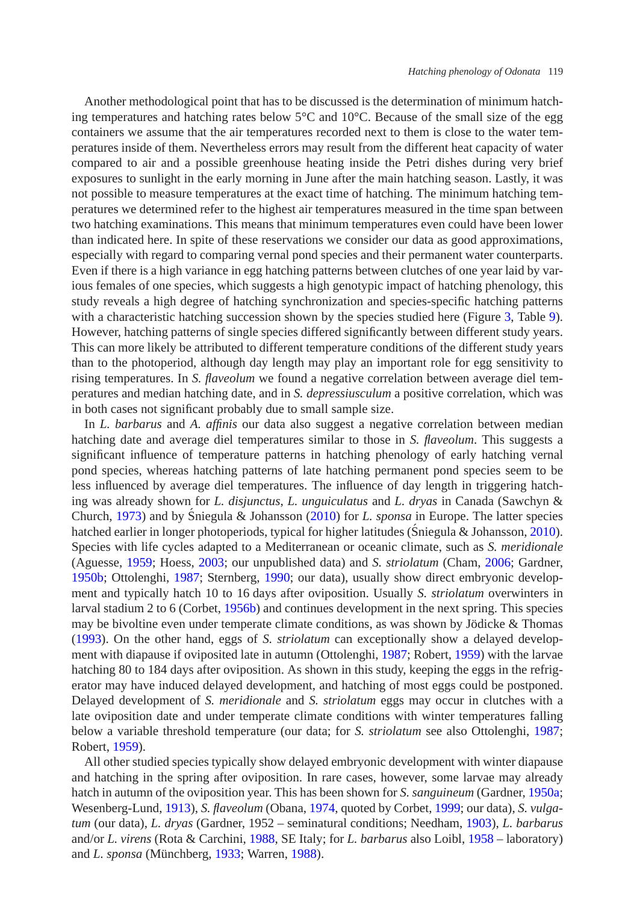Another methodological point that has to be discussed is the determination of minimum hatching temperatures and hatching rates below  $5^{\circ}$ C and  $10^{\circ}$ C. Because of the small size of the egg containers we assume that the air temperatures recorded next to them is close to the water temperatures inside of them. Nevertheless errors may result from the different heat capacity of water compared to air and a possible greenhouse heating inside the Petri dishes during very brief exposures to sunlight in the early morning in June after the main hatching season. Lastly, it was not possible to measure temperatures at the exact time of hatching. The minimum hatching temperatures we determined refer to the highest air temperatures measured in the time span between two hatching examinations. This means that minimum temperatures even could have been lower than indicated here. In spite of these reservations we consider our data as good approximations, especially with regard to comparing vernal pond species and their permanent water counterparts. Even if there is a high variance in egg hatching patterns between clutches of one year laid by various females of one species, which suggests a high genotypic impact of hatching phenology, this study reveals a high degree of hatching synchronization and species-specific hatching patterns with a characteristic hatching succession shown by the species studied here (Figure [3,](#page-8-0) Table [9\)](#page-12-0). However, hatching patterns of single species differed significantly between different study years. This can more likely be attributed to different temperature conditions of the different study years than to the photoperiod, although day length may play an important role for egg sensitivity to rising temperatures. In *S. flaveolum* we found a negative correlation between average diel temperatures and median hatching date, and in *S. depressiusculum* a positive correlation, which was in both cases not significant probably due to small sample size.

In *L. barbarus* and *A. affinis* our data also suggest a negative correlation between median hatching date and average diel temperatures similar to those in *S. flaveolum*. This suggests a significant influence of temperature patterns in hatching phenology of early hatching vernal pond species, whereas hatching patterns of late hatching permanent pond species seem to be less influenced by average diel temperatures. The influence of day length in triggering hatching was already shown for *L. disjunctus*, *L. unguiculatus* and *L. dryas* in Canada (Sawchyn & Church, [1973\)](#page-17-2) and by Sniegula & Johansson ([2010\)](#page-17-9) for *L. sponsa* in Europe. The latter species hatched earlier in longer photoperiods, typical for higher latitudes (Sniegula & Johansson, [2010\)](#page-17-9). Species with life cycles adapted to a Mediterranean or oceanic climate, such as *S. meridionale* (Aguesse, [1959;](#page-16-8) Hoess, [2003;](#page-17-33) our unpublished data) and *S. striolatum* (Cham, [2006;](#page-16-9) Gardner, [1950b;](#page-17-34) Ottolenghi, [1987;](#page-17-35) Sternberg, [1990;](#page-17-36) our data), usually show direct embryonic development and typically hatch 10 to 16 days after oviposition. Usually *S. striolatum* overwinters in larval stadium 2 to 6 (Corbet, [1956b\)](#page-16-10) and continues development in the next spring. This species may be bivoltine even under temperate climate conditions, as was shown by Jödicke & Thomas [\(1993\)](#page-17-37). On the other hand, eggs of *S. striolatum* can exceptionally show a delayed development with diapause if oviposited late in autumn (Ottolenghi, [1987;](#page-17-35) Robert, [1959\)](#page-17-1) with the larvae hatching 80 to 184 days after oviposition. As shown in this study, keeping the eggs in the refrigerator may have induced delayed development, and hatching of most eggs could be postponed. Delayed development of *S. meridionale* and *S. striolatum* eggs may occur in clutches with a late oviposition date and under temperate climate conditions with winter temperatures falling below a variable threshold temperature (our data; for *S. striolatum* see also Ottolenghi, [1987;](#page-17-35) Robert, [1959\)](#page-17-1).

All other studied species typically show delayed embryonic development with winter diapause and hatching in the spring after oviposition. In rare cases, however, some larvae may already hatch in autumn of the oviposition year. This has been shown for *S. sanguineum* (Gardner, [1950a;](#page-17-38) Wesenberg-Lund, [1913\)](#page-18-5), *S. flaveolum* (Obana, [1974,](#page-17-39) quoted by Corbet, [1999;](#page-16-0) our data), *S. vulgatum* (our data), *L. dryas* (Gardner, 1952 – seminatural conditions; Needham, [1903\)](#page-17-40), *L. barbarus* and/or *L. virens* (Rota & Carchini, [1988,](#page-17-41) SE Italy; for *L. barbarus* also Loibl, [1958](#page-17-42) – laboratory) and *L. sponsa* (Münchberg, [1933;](#page-17-6) Warren, [1988\)](#page-18-6).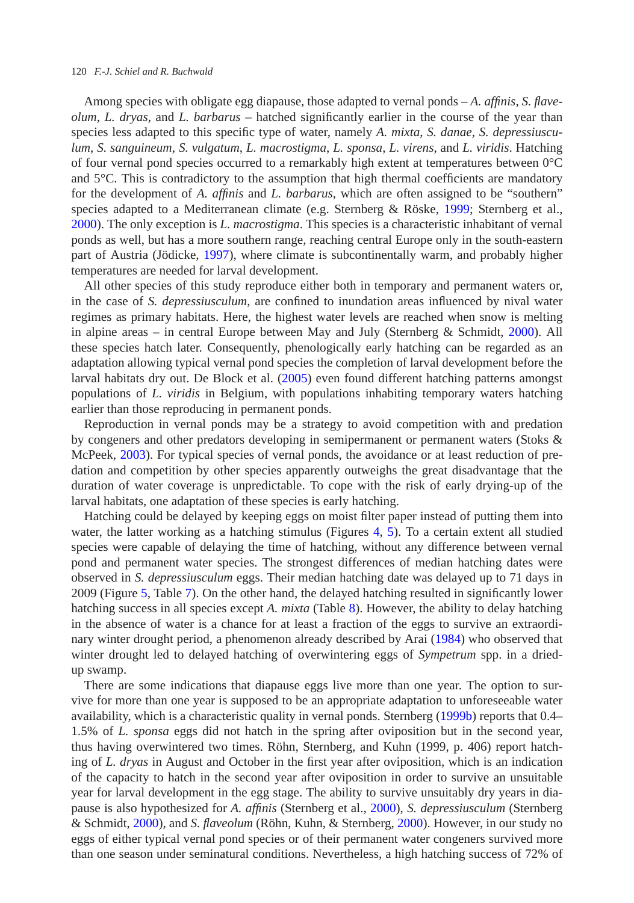Among species with obligate egg diapause, those adapted to vernal ponds – *A. affinis*, *S. flaveolum*, *L. dryas*, and *L. barbarus* – hatched significantly earlier in the course of the year than species less adapted to this specific type of water, namely *A. mixta*, *S. danae*, *S. depressiusculum*, *S. sanguineum*, *S. vulgatum*, *L. macrostigma*, *L. sponsa*, *L. virens*, and *L. viridis*. Hatching of four vernal pond species occurred to a remarkably high extent at temperatures between  $0^{\circ}$ C and  $5^{\circ}$ C. This is contradictory to the assumption that high thermal coefficients are mandatory for the development of *A. affinis* and *L. barbarus*, which are often assigned to be "southern" species adapted to a Mediterranean climate (e.g. Sternberg & Röske, [1999;](#page-18-7) Sternberg et al., [2000\)](#page-17-43). The only exception is *L. macrostigma*. This species is a characteristic inhabitant of vernal ponds as well, but has a more southern range, reaching central Europe only in the south-eastern part of Austria (Jödicke, [1997\)](#page-17-44), where climate is subcontinentally warm, and probably higher temperatures are needed for larval development.

All other species of this study reproduce either both in temporary and permanent waters or, in the case of *S. depressiusculum*, are confined to inundation areas influenced by nival water regimes as primary habitats. Here, the highest water levels are reached when snow is melting in alpine areas – in central Europe between May and July (Sternberg & Schmidt,  $2000$ ). All these species hatch later. Consequently, phenologically early hatching can be regarded as an adaptation allowing typical vernal pond species the completion of larval development before the larval habitats dry out. De Block et al. [\(2005\)](#page-17-45) even found different hatching patterns amongst populations of *L. viridis* in Belgium, with populations inhabiting temporary waters hatching earlier than those reproducing in permanent ponds.

Reproduction in vernal ponds may be a strategy to avoid competition with and predation by congeners and other predators developing in semipermanent or permanent waters (Stoks & McPeek, [2003\)](#page-18-9). For typical species of vernal ponds, the avoidance or at least reduction of predation and competition by other species apparently outweighs the great disadvantage that the duration of water coverage is unpredictable. To cope with the risk of early drying-up of the larval habitats, one adaptation of these species is early hatching.

Hatching could be delayed by keeping eggs on moist filter paper instead of putting them into water, the latter working as a hatching stimulus (Figures [4,](#page-9-0) [5\)](#page-9-1). To a certain extent all studied species were capable of delaying the time of hatching, without any difference between vernal pond and permanent water species. The strongest differences of median hatching dates were observed in *S. depressiusculum* eggs. Their median hatching date was delayed up to 71 days in 2009 (Figure [5,](#page-9-1) Table [7\)](#page-10-0). On the other hand, the delayed hatching resulted in significantly lower hatching success in all species except *A. mixta* (Table [8\)](#page-10-1). However, the ability to delay hatching in the absence of water is a chance for at least a fraction of the eggs to survive an extraordinary winter drought period, a phenomenon already described by Arai [\(1984\)](#page-16-11) who observed that winter drought led to delayed hatching of overwintering eggs of *Sympetrum* spp. in a driedup swamp.

There are some indications that diapause eggs live more than one year. The option to survive for more than one year is supposed to be an appropriate adaptation to unforeseeable water availability, which is a characteristic quality in vernal ponds. Sternberg [\(1999b\)](#page-17-46) reports that 0.4– 1.5% of *L. sponsa* eggs did not hatch in the spring after oviposition but in the second year, thus having overwintered two times. Röhn, Sternberg, and Kuhn (1999, p. 406) report hatching of *L. dryas* in August and October in the first year after oviposition, which is an indication of the capacity to hatch in the second year after oviposition in order to survive an unsuitable year for larval development in the egg stage. The ability to survive unsuitably dry years in diapause is also hypothesized for *A. affinis* (Sternberg et al., [2000\)](#page-17-43), *S. depressiusculum* (Sternberg & Schmidt, [2000\)](#page-18-8), and *S. flaveolum* (Röhn, Kuhn, & Sternberg, [2000\)](#page-17-47). However, in our study no eggs of either typical vernal pond species or of their permanent water congeners survived more than one season under seminatural conditions. Nevertheless, a high hatching success of 72% of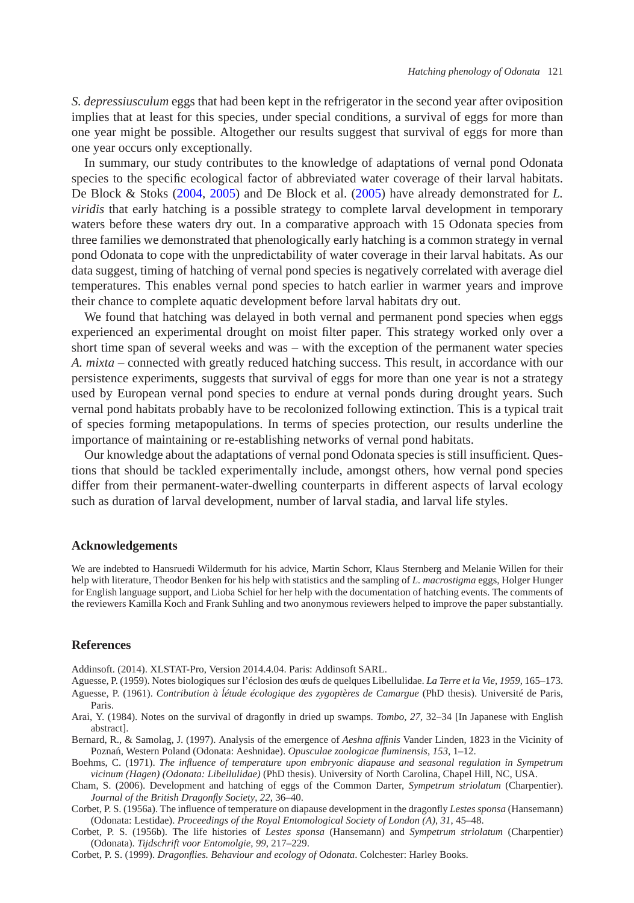<span id="page-16-7"></span><span id="page-16-6"></span><span id="page-16-5"></span><span id="page-16-4"></span>*S. depressiusculum* eggs that had been kept in the refrigerator in the second year after oviposition implies that at least for this species, under special conditions, a survival of eggs for more than one year might be possible. Altogether our results suggest that survival of eggs for more than one year occurs only exceptionally.

In summary, our study contributes to the knowledge of adaptations of vernal pond Odonata species to the specific ecological factor of abbreviated water coverage of their larval habitats. De Block & Stoks [\(2004,](#page-17-48) [2005\)](#page-17-0) and De Block et al. [\(2005\)](#page-17-45) have already demonstrated for *L. viridis* that early hatching is a possible strategy to complete larval development in temporary waters before these waters dry out. In a comparative approach with 15 Odonata species from three families we demonstrated that phenologically early hatching is a common strategy in vernal pond Odonata to cope with the unpredictability of water coverage in their larval habitats. As our data suggest, timing of hatching of vernal pond species is negatively correlated with average diel temperatures. This enables vernal pond species to hatch earlier in warmer years and improve their chance to complete aquatic development before larval habitats dry out.

We found that hatching was delayed in both vernal and permanent pond species when eggs experienced an experimental drought on moist filter paper. This strategy worked only over a short time span of several weeks and was – with the exception of the permanent water species *A. mixta* – connected with greatly reduced hatching success. This result, in accordance with our persistence experiments, suggests that survival of eggs for more than one year is not a strategy used by European vernal pond species to endure at vernal ponds during drought years. Such vernal pond habitats probably have to be recolonized following extinction. This is a typical trait of species forming metapopulations. In terms of species protection, our results underline the importance of maintaining or re-establishing networks of vernal pond habitats.

Our knowledge about the adaptations of vernal pond Odonata species is still insufficient. Questions that should be tackled experimentally include, amongst others, how vernal pond species differ from their permanent-water-dwelling counterparts in different aspects of larval ecology such as duration of larval development, number of larval stadia, and larval life styles.

### **Acknowledgements**

We are indebted to Hansruedi Wildermuth for his advice, Martin Schorr, Klaus Sternberg and Melanie Willen for their help with literature, Theodor Benken for his help with statistics and the sampling of *L. macrostigma* eggs, Holger Hunger for English language support, and Lioba Schiel for her help with the documentation of hatching events. The comments of the reviewers Kamilla Koch and Frank Suhling and two anonymous reviewers helped to improve the paper substantially.

### **References**

Addinsoft. (2014). XLSTAT-Pro, Version 2014.4.04. Paris: Addinsoft SARL.

- <span id="page-16-3"></span>Aguesse, P. (1959). Notes biologiques sur l'éclosion des œufs de quelques Libellulidae. *La Terre et la Vie*, *1959*, 165–173.
- <span id="page-16-8"></span>Aguesse, P. (1961). *Contribution à ´ létude écologique des zygoptères de Camargue* (PhD thesis). Université de Paris, Paris.
- <span id="page-16-11"></span>Arai, Y. (1984). Notes on the survival of dragonfly in dried up swamps. *Tombo*, *27*, 32–34 [In Japanese with English abstract].
- Bernard, R., & Samolag, J. (1997). Analysis of the emergence of *Aeshna affinis* Vander Linden, 1823 in the Vicinity of Poznań, Western Poland (Odonata: Aeshnidae). *Opusculae zoologicae fluminensis*, 153, 1-12.
- <span id="page-16-1"></span>Boehms, C. (1971). *The influence of temperature upon embryonic diapause and seasonal regulation in Sympetrum vicinum (Hagen) (Odonata: Libellulidae)* (PhD thesis). University of North Carolina, Chapel Hill, NC, USA.
- <span id="page-16-9"></span>Cham, S. (2006). Development and hatching of eggs of the Common Darter, *Sympetrum striolatum* (Charpentier). *Journal of the British Dragonfly Society*, *22*, 36–40.
- <span id="page-16-2"></span>Corbet, P. S. (1956a). The influence of temperature on diapause development in the dragonfly *Lestes sponsa* (Hansemann) (Odonata: Lestidae). *Proceedings of the Royal Entomological Society of London (A)*, *31*, 45–48.
- <span id="page-16-10"></span>Corbet, P. S. (1956b). The life histories of *Lestes sponsa* (Hansemann) and *Sympetrum striolatum* (Charpentier) (Odonata). *Tijdschrift voor Entomolgie*, *99*, 217–229.
- <span id="page-16-0"></span>Corbet, P. S. (1999). *Dragonflies. Behaviour and ecology of Odonata*. Colchester: Harley Books.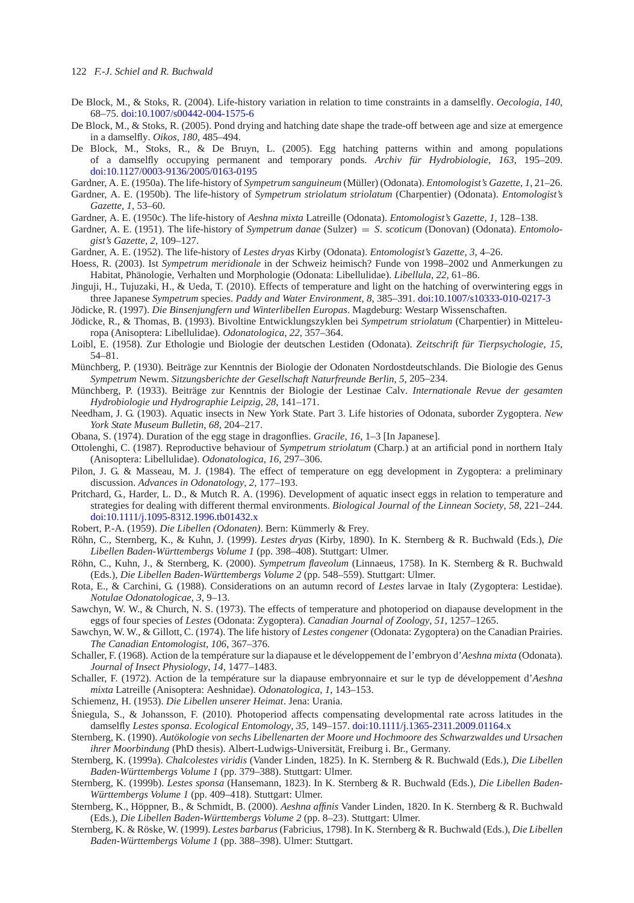- <span id="page-17-32"></span><span id="page-17-31"></span><span id="page-17-30"></span><span id="page-17-29"></span><span id="page-17-28"></span><span id="page-17-27"></span><span id="page-17-26"></span><span id="page-17-25"></span><span id="page-17-24"></span><span id="page-17-23"></span><span id="page-17-22"></span><span id="page-17-21"></span><span id="page-17-20"></span><span id="page-17-19"></span><span id="page-17-18"></span><span id="page-17-17"></span><span id="page-17-16"></span><span id="page-17-15"></span><span id="page-17-14"></span><span id="page-17-13"></span><span id="page-17-12"></span><span id="page-17-11"></span><span id="page-17-10"></span>De Block, M., & Stoks, R. (2004). Life-history variation in relation to time constraints in a damselfly. *Oecologia*, *140*, 68–75. [doi:10.1007/s00442-004-1575-6](http://dx.doi.org/10.1007/s00442-004-1575-6)
- <span id="page-17-48"></span>De Block, M., & Stoks, R. (2005). Pond drying and hatching date shape the trade-off between age and size at emergence in a damselfly. *Oikos*, *180*, 485–494.
- <span id="page-17-0"></span>De Block, M., Stoks, R., & De Bruyn, L. (2005). Egg hatching patterns within and among populations of a damselfly occupying permanent and temporary ponds. *Archiv für Hydrobiologie*, *163*, 195–209. [doi:10.1127/0003-9136/2005/0163-0195](http://dx.doi.org/10.1127/0003-9136/2005/0163-0195)
- Gardner, A. E. (1950a). The life-history of *Sympetrum sanguineum* (Müller) (Odonata). *Entomologist's Gazette*, *1*, 21–26.
- <span id="page-17-45"></span><span id="page-17-38"></span>Gardner, A. E. (1950b). The life-history of *Sympetrum striolatum striolatum* (Charpentier) (Odonata). *Entomologist's Gazette*, *1*, 53–60.
- Gardner, A. E. (1950c). The life-history of *Aeshna mixta* Latreille (Odonata). *Entomologist's Gazette*, *1*, 128–138.
- <span id="page-17-34"></span>Gardner, A. E. (1951). The life-history of *Sympetrum danae* (Sulzer) = *S. scoticum* (Donovan) (Odonata). *Entomologist's Gazette*, *2*, 109–127.
- Gardner, A. E. (1952). The life-history of *Lestes dryas* Kirby (Odonata). *Entomologist's Gazette*, *3*, 4–26.
- Hoess, R. (2003). Ist *Sympetrum meridionale* in der Schweiz heimisch? Funde von 1998–2002 und Anmerkungen zu Habitat, Phänologie, Verhalten und Morphologie (Odonata: Libellulidae). *Libellula*, *22*, 61–86.
- <span id="page-17-33"></span>Jinguji, H., Tujuzaki, H., & Ueda, T. (2010). Effects of temperature and light on the hatching of overwintering eggs in three Japanese *Sympetrum* species. *Paddy and Water Environment*, *8*, 385–391. [doi:10.1007/s10333-010-0217-3](http://dx.doi.org/10.1007/s10333-010-0217-3)
- Jödicke, R. (1997). *Die Binsenjungfern und Winterlibellen Europas*. Magdeburg: Westarp Wissenschaften.
- <span id="page-17-44"></span><span id="page-17-8"></span>Jödicke, R., & Thomas, B. (1993). Bivoltine Entwicklungszyklen bei *Sympetrum striolatum* (Charpentier) in Mitteleuropa (Anisoptera: Libellulidae). *Odonatologica*, *22*, 357–364.
- <span id="page-17-37"></span>Loibl, E. (1958). Zur Ethologie und Biologie der deutschen Lestiden (Odonata). *Zeitschrift für Tierpsychologie*, *15*, 54–81.
- <span id="page-17-42"></span>Münchberg, P. (1930). Beiträge zur Kenntnis der Biologie der Odonaten Nordostdeutschlands. Die Biologie des Genus *Sympetrum* Newm. *Sitzungsberichte der Gesellschaft Naturfreunde Berlin*, *5*, 205–234.
- Münchberg, P. (1933). Beiträge zur Kenntnis der Biologie der Lestinae Calv. *Internationale Revue der gesamten Hydrobiologie und Hydrographie Leipzig*, *28*, 141–171.
- <span id="page-17-6"></span>Needham, J. G. (1903). Aquatic insects in New York State. Part 3. Life histories of Odonata, suborder Zygoptera. *New York State Museum Bulletin*, *68*, 204–217.
- Obana, S. (1974). Duration of the egg stage in dragonflies. *Gracile*, *16*, 1–3 [In Japanese].
- <span id="page-17-40"></span><span id="page-17-39"></span>Ottolenghi, C. (1987). Reproductive behaviour of *Sympetrum striolatum* (Charp.) at an artificial pond in northern Italy (Anisoptera: Libellulidae). *Odonatologica*, *16*, 297–306.
- <span id="page-17-35"></span>Pilon, J. G. & Masseau, M. J. (1984). The effect of temperature on egg development in Zygoptera: a preliminary discussion. *Advances in Odonatology*, *2*, 177–193.
- <span id="page-17-3"></span>Pritchard, G., Harder, L. D., & Mutch R. A. (1996). Development of aquatic insect eggs in relation to temperature and strategies for dealing with different thermal environments. *Biological Journal of the Linnean Society*, *58*, 221–244. [doi:10.1111/j.1095-8312.1996.tb01432.x](http://dx.doi.org/10.1111/j.1095-8312.1996.tb01432.x)
- Robert, P.-A. (1959). *Die Libellen (Odonaten)*. Bern: Kümmerly & Frey.
- <span id="page-17-4"></span><span id="page-17-1"></span>Röhn, C., Sternberg, K., & Kuhn, J. (1999). *Lestes dryas* (Kirby, 1890). In K. Sternberg & R. Buchwald (Eds.), *Die Libellen Baden-Württembergs Volume 1* (pp. 398–408). Stuttgart: Ulmer.
- <span id="page-17-47"></span>Röhn, C., Kuhn, J., & Sternberg, K. (2000). *Sympetrum flaveolum* (Linnaeus, 1758). In K. Sternberg & R. Buchwald (Eds.), *Die Libellen Baden-Württembergs Volume 2* (pp. 548–559). Stuttgart: Ulmer.
- Rota, E., & Carchini, G. (1988). Considerations on an autumn record of *Lestes* larvae in Italy (Zygoptera: Lestidae). *Notulae Odonatologicae*, *3*, 9–13.
- <span id="page-17-41"></span>Sawchyn, W. W., & Church, N. S. (1973). The effects of temperature and photoperiod on diapause development in the eggs of four species of *Lestes* (Odonata: Zygoptera). *Canadian Journal of Zoology*, *51*, 1257–1265.
- <span id="page-17-2"></span>Sawchyn, W. W., & Gillott, C. (1974). The life history of *Lestes congener* (Odonata: Zygoptera) on the Canadian Prairies. *The Canadian Entomologist*, *106*, 367–376.
- <span id="page-17-5"></span>Schaller, F. (1968). Action de la température sur la diapause et le développement de l'embryon d'*Aeshna mixta* (Odonata). *Journal of Insect Physiology*, *14*, 1477–1483.
- <span id="page-17-7"></span>Schaller, F. (1972). Action de la température sur la diapause embryonnaire et sur le typ de développement d'*Aeshna mixta* Latreille (Anisoptera: Aeshnidae). *Odonatologica*, *1*, 143–153.
- Schiemenz, H. (1953). *Die Libellen unserer Heimat*. Jena: Urania.
- Sniegula, S., & Johansson, F. (2010). Photoperiod affects compensating developmental rate across latitudes in the damselfly *Lestes sponsa*. *Ecological Entomology*, *35*, 149–157. [doi:10.1111/j.1365-2311.2009.01164.x](http://dx.doi.org/10.1111/j.1365-2311.2009.01164.x)
- <span id="page-17-9"></span>Sternberg, K. (1990). *Autökologie von sechs Libellenarten der Moore und Hochmoore des Schwarzwaldes und Ursachen ihrer Moorbindung* (PhD thesis). Albert-Ludwigs-Universität, Freiburg i. Br., Germany.
- <span id="page-17-36"></span>Sternberg, K. (1999a). *Chalcolestes viridis* (Vander Linden, 1825). In K. Sternberg & R. Buchwald (Eds.), *Die Libellen Baden-Württembergs Volume 1* (pp. 379–388). Stuttgart: Ulmer.
- Sternberg, K. (1999b). *Lestes sponsa* (Hansemann, 1823). In K. Sternberg & R. Buchwald (Eds.), *Die Libellen Baden-Württembergs Volume 1* (pp. 409–418). Stuttgart: Ulmer.
- <span id="page-17-46"></span>Sternberg, K., Höppner, B., & Schmidt, B. (2000). *Aeshna affinis* Vander Linden, 1820. In K. Sternberg & R. Buchwald (Eds.), *Die Libellen Baden-Württembergs Volume 2* (pp. 8–23). Stuttgart: Ulmer.
- <span id="page-17-43"></span>Sternberg, K. & Röske, W. (1999). *Lestes barbarus* (Fabricius, 1798). In K. Sternberg & R. Buchwald (Eds.), *Die Libellen Baden-Württembergs Volume 1* (pp. 388–398). Ulmer: Stuttgart.